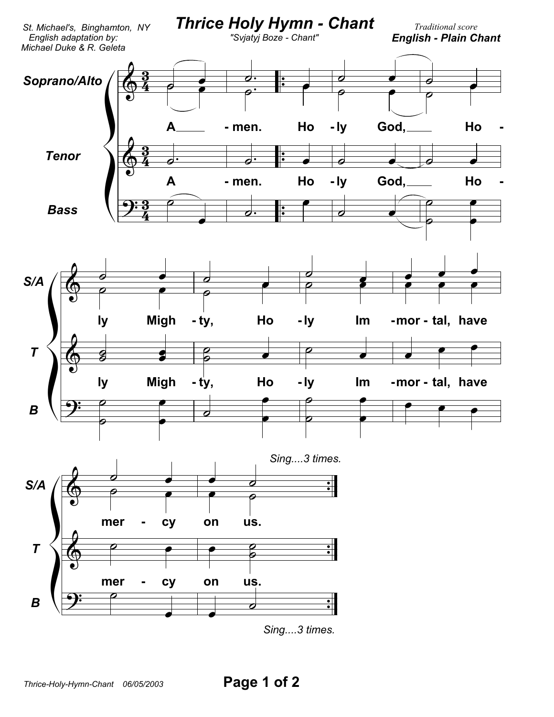

*Sing....3 times.*